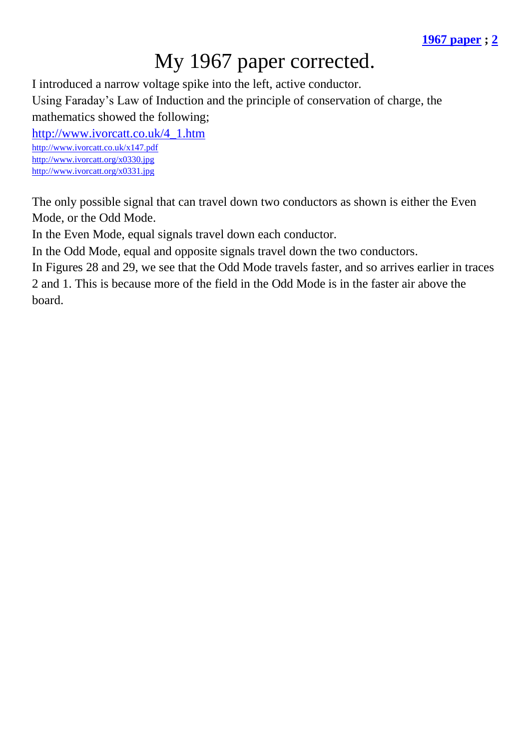## My 1967 paper corrected.

I introduced a narrow voltage spike into the left, active conductor.

Using Faraday's Law of Induction and the principle of conservation of charge, the mathematics showed the following;

[http://www.ivorcatt.co.uk/4\\_1.htm](http://www.ivorcatt.co.uk/4_1.htm) <http://www.ivorcatt.co.uk/x147.pdf> <http://www.ivorcatt.org/x0330.jpg>

<http://www.ivorcatt.org/x0331.jpg>

The only possible signal that can travel down two conductors as shown is either the Even Mode, or the Odd Mode.

In the Even Mode, equal signals travel down each conductor.

In the Odd Mode, equal and opposite signals travel down the two conductors.

In Figures 28 and 29, we see that the Odd Mode travels faster, and so arrives earlier in traces 2 and 1. This is because more of the field in the Odd Mode is in the faster air above the board.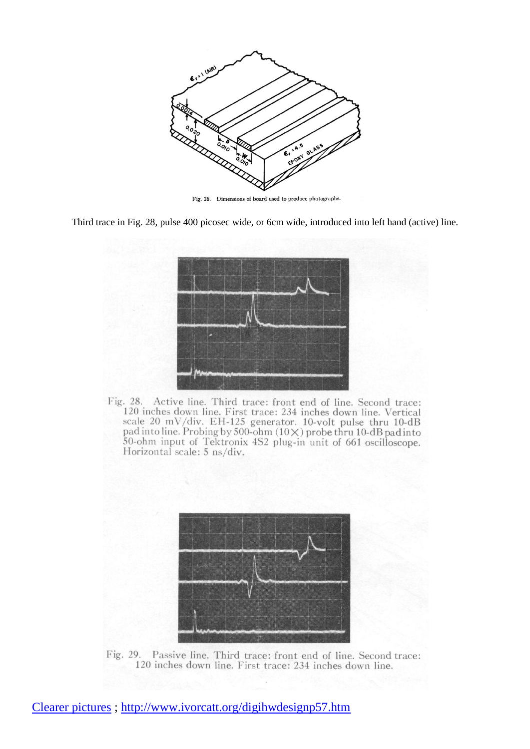

Fig. 26. Dimensions of board used to produce photographs.

Third trace in Fig. 28, pulse 400 picosec wide, or 6cm wide, introduced into left hand (active) line.



Fig. 28. Active line. Third trace: front end of line. Second trace: 120 inches down line. First trace: 234 inches down line. Vertical scale 20 mV/div. EH-125 generator. 10-volt pulse thru 10-dB pad into line. Probing by 500-ohm  $(10\times)$  probe thru 10-dB pad into 50-ohm input of Tektronix 4S2 plug-in unit of 661 oscilloscope. Horizontal scale: 5 ns/div.



Fig. 29. Passive line. Third trace: front end of line. Second trace: 120 inches down line. First trace: 234 inches down line.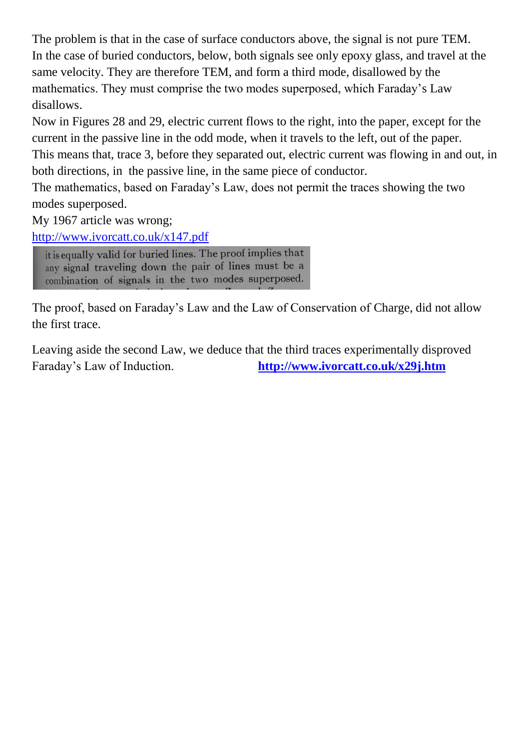The problem is that in the case of surface conductors above, the signal is not pure TEM. In the case of buried conductors, below, both signals see only epoxy glass, and travel at the same velocity. They are therefore TEM, and form a third mode, disallowed by the mathematics. They must comprise the two modes superposed, which Faraday's Law disallows.

Now in Figures 28 and 29, electric current flows to the right, into the paper, except for the current in the passive line in the odd mode, when it travels to the left, out of the paper. This means that, trace 3, before they separated out, electric current was flowing in and out, in both directions, in the passive line, in the same piece of conductor.

The mathematics, based on Faraday's Law, does not permit the traces showing the two modes superposed.

My 1967 article was wrong;

<http://www.ivorcatt.co.uk/x147.pdf>

it is equally valid for buried lines. The proof implies that any signal traveling down the pair of lines must be a combination of signals in the two modes superposed.

The proof, based on Faraday's Law and the Law of Conservation of Charge, did not allow the first trace.

Leaving aside the second Law, we deduce that the third traces experimentally disproved Faraday's Law of Induction. **<http://www.ivorcatt.co.uk/x29j.htm>**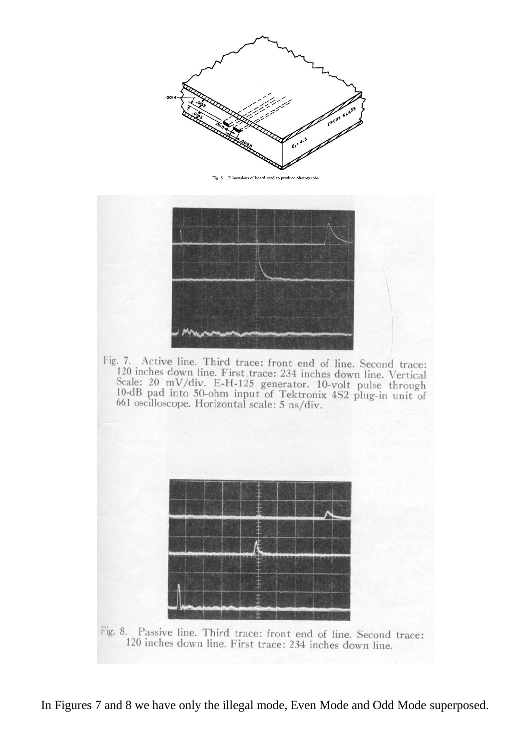

Fig. 5. Dimensions of board used to produce photograph



Fig. 7. Active line. Third trace: front end of line. Second trace: 120 inches down line. First trace: 234 inches down line. Vertical Scale: 20 mV/div. E-H-125 generator. 10-volt pulse through<br>10-dB pad into 50-ohm input of Tektronix 4S2 plug-in unit of<br>661 oscilloscope. Horizontal scale: 5 ns/div.



Fig. 8. Passive line. Third trace: front end of line. Second trace: 120 inches down line. First trace: 234 inches down line.

In Figures 7 and 8 we have only the illegal mode, Even Mode and Odd Mode superposed.